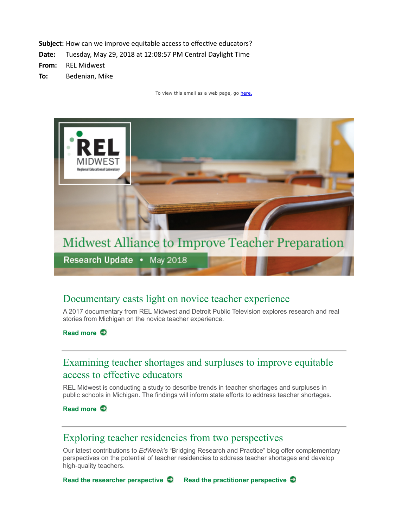

**Midwest Alliance to Improve Teacher Preparation** 

Research Update . May 2018

## Documentary casts light on novice teacher experience

A 2017 documentary from REL Midwest and Detroit Public Television explores research and real stories from Michigan on the novice teacher experience.

#### **[Read more](https://ies.ed.gov/ncee/edlabs/regions/midwest/blogs/novice-teacher-documentary.aspx?utm_source=newsletter-relmw&utm_campaign=2018-05-maitp)**

# Examining teacher shortages and surpluses to improve equitable access to effective educators

REL Midwest is conducting a study to describe trends in teacher shortages and surpluses in public schools in Michigan. The findings will inform state efforts to address teacher shortages.

**[Read more](https://ies.ed.gov/ncee/edlabs/regions/midwest/blogs/examining-teacher-shortages-and-surpluses.aspx?utm_source=newsletter-relmw&utm_campaign=2018-05-maitp)** 

### Exploring teacher residencies from two perspectives

Our latest contributions to *EdWeek's* "Bridging Research and Practice" blog offer complementary perspectives on the potential of teacher residencies to address teacher shortages and develop high-quality teachers.

**[Read the researcher perspective](https://ies.ed.gov/ncee/edlabs/regions/midwest/blogs/exploring-potential-teacher-residencies.aspx?utm_source=newsletter-relmw&utm_campaign=2018-05-maitp) [Read the practitioner perspective](https://ies.ed.gov/ncee/edlabs/regions/midwest/blogs/building-teacher-residency-program.aspx?utm_source=newsletter-relmw&utm_campaign=2018-05-maitp)**